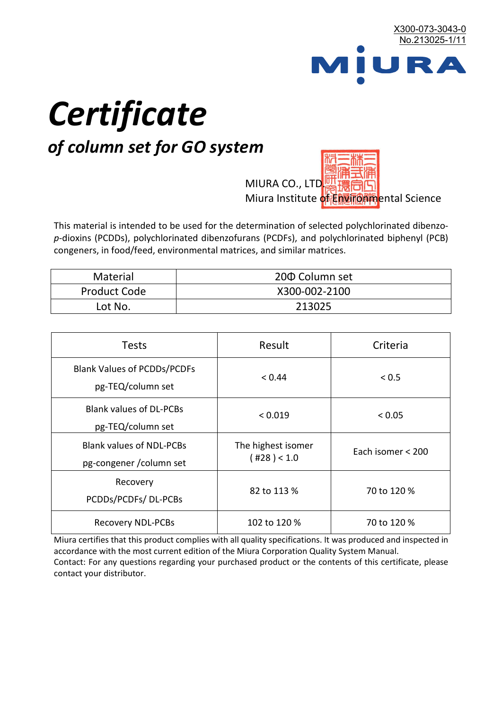

# *Certificate*

## *of column set for GO system*

MIURA CO., LTD. Miura Institute of 正版而解ental Science

This material is intended to be used for the determination of selected polychlorinated dibenzo*p*-dioxins (PCDDs), polychlorinated dibenzofurans (PCDFs), and polychlorinated biphenyl (PCB) congeners, in food/feed, environmental matrices, and similar matrices.

| <b>Material</b>     | 200 Column set |  |
|---------------------|----------------|--|
| <b>Product Code</b> | X300-002-2100  |  |
| Lot No.             | 213025         |  |

| <b>Tests</b>                                                | Result                            | Criteria          |  |
|-------------------------------------------------------------|-----------------------------------|-------------------|--|
| <b>Blank Values of PCDDs/PCDFs</b><br>pg-TEQ/column set     | < 0.44                            | < 0.5             |  |
| <b>Blank values of DL-PCBs</b><br>pg-TEQ/column set         | < 0.019                           | < 0.05            |  |
| <b>Blank values of NDL-PCBs</b><br>pg-congener / column set | The highest isomer<br>(428) < 1.0 | Each isomer < 200 |  |
| Recovery<br>PCDDs/PCDFs/DL-PCBs                             | 82 to 113 %                       | 70 to 120 %       |  |
| <b>Recovery NDL-PCBs</b>                                    | 102 to 120 %                      | 70 to 120 %       |  |

Miura certifies that this product complies with all quality specifications. It was produced and inspected in accordance with the most current edition of the Miura Corporation Quality System Manual. Contact: For any questions regarding your purchased product or the contents of this certificate, please contact your distributor.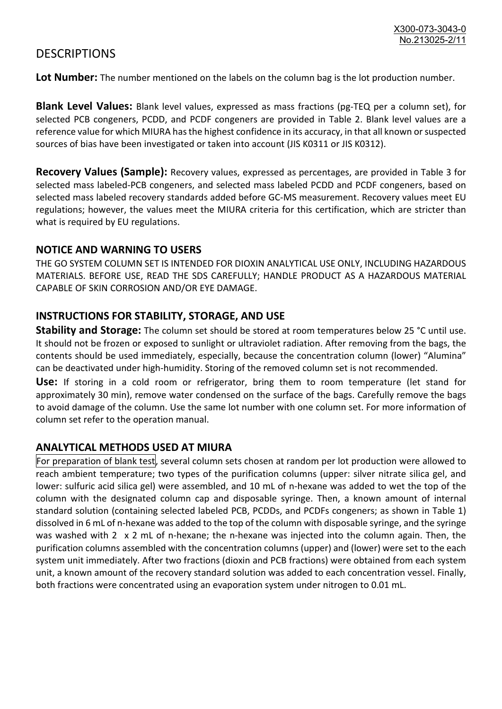### **DESCRIPTIONS**

**Lot Number:** The number mentioned on the labels on the column bag is the lot production number.

**Blank Level Values:** Blank level values, expressed as mass fractions (pg-TEQ per a column set), for selected PCB congeners, PCDD, and PCDF congeners are provided in Table 2. Blank level values are a reference value for which MIURA has the highest confidence in its accuracy, in that all known or suspected sources of bias have been investigated or taken into account (JIS K0311 or JIS K0312).

**Recovery Values (Sample):** Recovery values, expressed as percentages, are provided in Table 3 for selected mass labeled-PCB congeners, and selected mass labeled PCDD and PCDF congeners, based on selected mass labeled recovery standards added before GC-MS measurement. Recovery values meet EU regulations; however, the values meet the MIURA criteria for this certification, which are stricter than what is required by EU regulations.

#### **NOTICE AND WARNING TO USERS**

THE GO SYSTEM COLUMN SET IS INTENDED FOR DIOXIN ANALYTICAL USE ONLY, INCLUDING HAZARDOUS MATERIALS. BEFORE USE, READ THE SDS CAREFULLY; HANDLE PRODUCT AS A HAZARDOUS MATERIAL CAPABLE OF SKIN CORROSION AND/OR EYE DAMAGE.

#### **INSTRUCTIONS FOR STABILITY, STORAGE, AND USE**

**Stability and Storage:** The column set should be stored at room temperatures below 25 °C until use. It should not be frozen or exposed to sunlight or ultraviolet radiation. After removing from the bags, the contents should be used immediately, especially, because the concentration column (lower) "Alumina" can be deactivated under high-humidity. Storing of the removed column set is not recommended.

**Use:** If storing in a cold room or refrigerator, bring them to room temperature (let stand for approximately 30 min), remove water condensed on the surface of the bags. Carefully remove the bags to avoid damage of the column. Use the same lot number with one column set. For more information of column set refer to the operation manual.

#### **ANALYTICAL METHODS USED AT MIURA**

For preparation of blank test, several column sets chosen at random per lot production were allowed to reach ambient temperature; two types of the purification columns (upper: silver nitrate silica gel, and lower: sulfuric acid silica gel) were assembled, and 10 mL of n-hexane was added to wet the top of the column with the designated column cap and disposable syringe. Then, a known amount of internal standard solution (containing selected labeled PCB, PCDDs, and PCDFs congeners; as shown in Table 1) dissolved in 6 mL of n-hexane was added to the top of the column with disposable syringe, and the syringe was washed with 2 x 2 mL of n-hexane; the n-hexane was injected into the column again. Then, the purification columns assembled with the concentration columns (upper) and (lower) were set to the each system unit immediately. After two fractions (dioxin and PCB fractions) were obtained from each system unit, a known amount of the recovery standard solution was added to each concentration vessel. Finally, both fractions were concentrated using an evaporation system under nitrogen to 0.01 mL.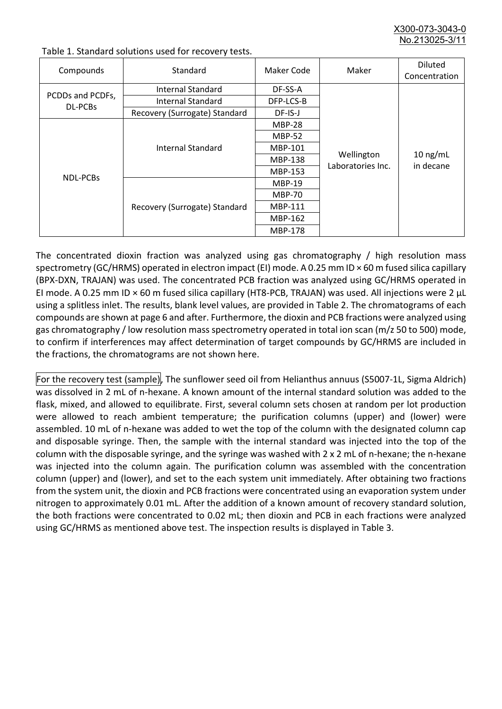X300-073-3043-0 No.213025-3/11

| Compounds                          | Standard                      | Maker Code     | Maker                           | <b>Diluted</b><br>Concentration |
|------------------------------------|-------------------------------|----------------|---------------------------------|---------------------------------|
|                                    | Internal Standard             | DF-SS-A        |                                 |                                 |
| PCDDs and PCDFs,<br><b>DL-PCBs</b> | <b>Internal Standard</b>      | DFP-LCS-B      |                                 |                                 |
|                                    | Recovery (Surrogate) Standard | DF-IS-J        | Wellington<br>Laboratories Inc. | $10$ ng/mL<br>in decane         |
| <b>NDL-PCBs</b>                    | Internal Standard             | <b>MBP-28</b>  |                                 |                                 |
|                                    |                               | <b>MBP-52</b>  |                                 |                                 |
|                                    |                               | MBP-101        |                                 |                                 |
|                                    |                               | <b>MBP-138</b> |                                 |                                 |
|                                    |                               | MBP-153        |                                 |                                 |
|                                    | Recovery (Surrogate) Standard | <b>MBP-19</b>  |                                 |                                 |
|                                    |                               | <b>MBP-70</b>  |                                 |                                 |
|                                    |                               | MBP-111        |                                 |                                 |
|                                    |                               | MBP-162        |                                 |                                 |
|                                    |                               | <b>MBP-178</b> |                                 |                                 |

Table 1. Standard solutions used for recovery tests.

The concentrated dioxin fraction was analyzed using gas chromatography / high resolution mass spectrometry (GC/HRMS) operated in electron impact (EI) mode. A 0.25 mm ID × 60 m fused silica capillary (BPX-DXN, TRAJAN) was used. The concentrated PCB fraction was analyzed using GC/HRMS operated in EI mode. A 0.25 mm ID × 60 m fused silica capillary (HT8-PCB, TRAJAN) was used. All injections were 2 μL using a splitless inlet. The results, blank level values, are provided in Table 2. The chromatograms of each compounds are shown at page 6 and after. Furthermore, the dioxin and PCB fractions were analyzed using gas chromatography / low resolution mass spectrometry operated in total ion scan (m/z 50 to 500) mode, to confirm if interferences may affect determination of target compounds by GC/HRMS are included in the fractions, the chromatograms are not shown here.

For the recovery test (sample), The sunflower seed oil from Helianthus annuus (S5007-1L, Sigma Aldrich) was dissolved in 2 mL of n-hexane. A known amount of the internal standard solution was added to the flask, mixed, and allowed to equilibrate. First, several column sets chosen at random per lot production were allowed to reach ambient temperature; the purification columns (upper) and (lower) were assembled. 10 mL of n-hexane was added to wet the top of the column with the designated column cap and disposable syringe. Then, the sample with the internal standard was injected into the top of the column with the disposable syringe, and the syringe was washed with 2 x 2 mL of n-hexane; the n-hexane was injected into the column again. The purification column was assembled with the concentration column (upper) and (lower), and set to the each system unit immediately. After obtaining two fractions from the system unit, the dioxin and PCB fractions were concentrated using an evaporation system under nitrogen to approximately 0.01 mL. After the addition of a known amount of recovery standard solution, the both fractions were concentrated to 0.02 mL; then dioxin and PCB in each fractions were analyzed using GC/HRMS as mentioned above test. The inspection results is displayed in Table 3.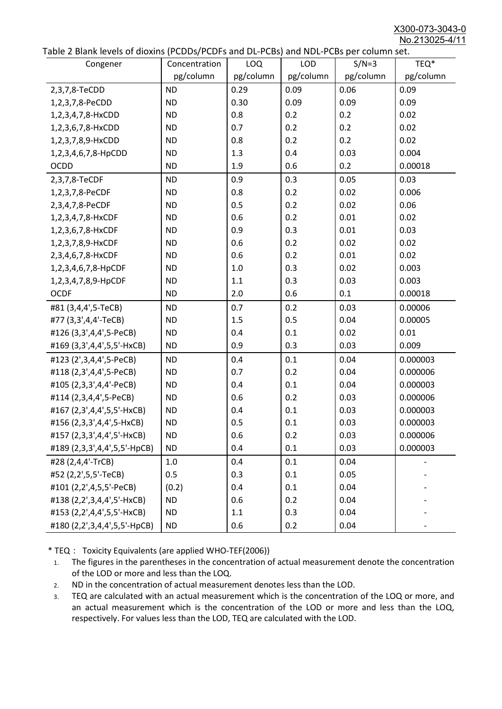X300-073-3043-0 No.213025-4/11

|  |  | Table 2 Blank levels of dioxins (PCDDs/PCDFs and DL-PCBs) and NDL-PCBs per column set. |
|--|--|----------------------------------------------------------------------------------------|
|--|--|----------------------------------------------------------------------------------------|

| able 2 Dialik levels of dioxilis (PCDDs/PCDI's and DL-PCDs) and NDL-PCDs per coldinii set.<br>Congener | Concentration | LOQ       | <b>LOD</b> | $S/N=3$   | TEQ*      |
|--------------------------------------------------------------------------------------------------------|---------------|-----------|------------|-----------|-----------|
|                                                                                                        | pg/column     | pg/column | pg/column  | pg/column | pg/column |
| 2,3,7,8-TeCDD                                                                                          | <b>ND</b>     | 0.29      | 0.09       | 0.06      | 0.09      |
| 1,2,3,7,8-PeCDD                                                                                        | <b>ND</b>     | 0.30      | 0.09       | 0.09      | 0.09      |
| 1,2,3,4,7,8-HxCDD                                                                                      | <b>ND</b>     | 0.8       | 0.2        | 0.2       | 0.02      |
| 1,2,3,6,7,8-HxCDD                                                                                      | <b>ND</b>     | 0.7       | 0.2        | 0.2       | 0.02      |
| 1,2,3,7,8,9-HxCDD                                                                                      | <b>ND</b>     | 0.8       | 0.2        | 0.2       | 0.02      |
| 1,2,3,4,6,7,8-HpCDD                                                                                    | <b>ND</b>     | 1.3       | 0.4        | 0.03      | 0.004     |
| <b>OCDD</b>                                                                                            | <b>ND</b>     | 1.9       | 0.6        | 0.2       | 0.00018   |
| 2,3,7,8-TeCDF                                                                                          | <b>ND</b>     | 0.9       | 0.3        | 0.05      | 0.03      |
| 1,2,3,7,8-PeCDF                                                                                        | <b>ND</b>     | 0.8       | 0.2        | 0.02      | 0.006     |
| 2,3,4,7,8-PeCDF                                                                                        | <b>ND</b>     | 0.5       | 0.2        | 0.02      | 0.06      |
| 1,2,3,4,7,8-HxCDF                                                                                      | <b>ND</b>     | 0.6       | 0.2        | 0.01      | 0.02      |
| 1,2,3,6,7,8-HxCDF                                                                                      | <b>ND</b>     | 0.9       | 0.3        | 0.01      | 0.03      |
| 1,2,3,7,8,9-HxCDF                                                                                      | <b>ND</b>     | 0.6       | 0.2        | 0.02      | 0.02      |
| 2,3,4,6,7,8-HxCDF                                                                                      | <b>ND</b>     | 0.6       | 0.2        | 0.01      | 0.02      |
| 1,2,3,4,6,7,8-HpCDF                                                                                    | <b>ND</b>     | 1.0       | 0.3        | 0.02      | 0.003     |
| 1,2,3,4,7,8,9-HpCDF                                                                                    | <b>ND</b>     | 1.1       | 0.3        | 0.03      | 0.003     |
| <b>OCDF</b>                                                                                            | <b>ND</b>     | 2.0       | 0.6        | 0.1       | 0.00018   |
| #81 (3,4,4',5-TeCB)                                                                                    | <b>ND</b>     | 0.7       | 0.2        | 0.03      | 0.00006   |
| #77 (3,3',4,4'-TeCB)                                                                                   | <b>ND</b>     | 1.5       | 0.5        | 0.04      | 0.00005   |
| #126 (3,3',4,4',5-PeCB)                                                                                | <b>ND</b>     | 0.4       | 0.1        | 0.02      | 0.01      |
| #169 (3,3',4,4',5,5'-HxCB)                                                                             | <b>ND</b>     | 0.9       | 0.3        | 0.03      | 0.009     |
| #123 (2',3,4,4',5-PeCB)                                                                                | <b>ND</b>     | 0.4       | 0.1        | 0.04      | 0.000003  |
| #118 (2,3',4,4',5-PeCB)                                                                                | <b>ND</b>     | 0.7       | 0.2        | 0.04      | 0.000006  |
| #105 (2,3,3',4,4'-PeCB)                                                                                | <b>ND</b>     | 0.4       | 0.1        | 0.04      | 0.000003  |
| #114 (2,3,4,4',5-PeCB)                                                                                 | <b>ND</b>     | 0.6       | 0.2        | 0.03      | 0.000006  |
| #167 (2,3',4,4',5,5'-HxCB)                                                                             | <b>ND</b>     | 0.4       | 0.1        | 0.03      | 0.000003  |
| #156 (2,3,3',4,4',5-HxCB)                                                                              | <b>ND</b>     | 0.5       | 0.1        | 0.03      | 0.000003  |
| #157 (2,3,3',4,4',5'-HxCB)                                                                             | <b>ND</b>     | 0.6       | 0.2        | 0.03      | 0.000006  |
| #189 (2,3,3',4,4',5,5'-HpCB)                                                                           | <b>ND</b>     | 0.4       | 0.1        | 0.03      | 0.000003  |
| #28 (2,4,4'-TrCB)                                                                                      | 1.0           | 0.4       | 0.1        | 0.04      |           |
| #52 (2,2',5,5'-TeCB)                                                                                   | 0.5           | 0.3       | 0.1        | 0.05      |           |
| #101 (2,2',4,5,5'-PeCB)                                                                                | (0.2)         | 0.4       | 0.1        | 0.04      |           |
| #138 (2,2',3,4,4',5'-HxCB)                                                                             | <b>ND</b>     | 0.6       | 0.2        | 0.04      |           |
| #153 (2,2',4,4',5,5'-HxCB)                                                                             | <b>ND</b>     | 1.1       | 0.3        | 0.04      |           |
| #180 (2,2',3,4,4',5,5'-HpCB)                                                                           | <b>ND</b>     | 0.6       | 0.2        | 0.04      |           |

\* TEQ: Toxicity Equivalents (are applied WHO-TEF(2006))

- 1. The figures in the parentheses in the concentration of actual measurement denote the concentration of the LOD or more and less than the LOQ.
- 2. ND in the concentration of actual measurement denotes less than the LOD.
- 3. TEQ are calculated with an actual measurement which is the concentration of the LOQ or more, and an actual measurement which is the concentration of the LOD or more and less than the LOQ, respectively. For values less than the LOD, TEQ are calculated with the LOD.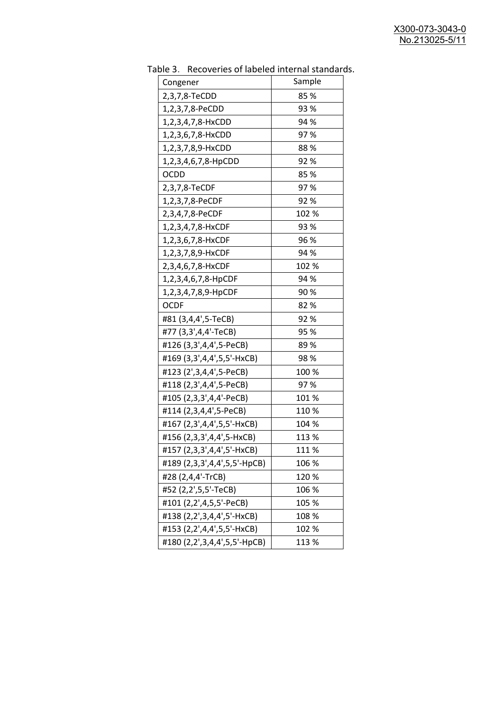| uwic J.<br><b>INCLUSION INTO THE MANUSCRY INTO THE STATISTICS</b> |        |
|-------------------------------------------------------------------|--------|
| Congener                                                          | Sample |
| 2,3,7,8-TeCDD                                                     | 85%    |
| 1,2,3,7,8-PeCDD                                                   | 93 %   |
| 1,2,3,4,7,8-HxCDD                                                 | 94 %   |
| 1,2,3,6,7,8-HxCDD                                                 | 97%    |
| 1,2,3,7,8,9-HxCDD                                                 | 88%    |
| 1,2,3,4,6,7,8-HpCDD                                               | 92%    |
| OCDD                                                              | 85%    |
| 2,3,7,8-TeCDF                                                     | 97%    |
| 1,2,3,7,8-PeCDF                                                   | 92%    |
| 2,3,4,7,8-PeCDF                                                   | 102 %  |
| 1,2,3,4,7,8-HxCDF                                                 | 93 %   |
| 1,2,3,6,7,8-HxCDF                                                 | 96 %   |
| 1,2,3,7,8,9-HxCDF                                                 | 94 %   |
| 2,3,4,6,7,8-HxCDF                                                 | 102 %  |
| 1,2,3,4,6,7,8-HpCDF                                               | 94 %   |
| 1,2,3,4,7,8,9-HpCDF                                               | 90%    |
| <b>OCDF</b>                                                       | 82%    |
| #81 (3,4,4',5-TeCB)                                               | 92%    |
| #77 (3,3',4,4'-TeCB)                                              | 95 %   |
| #126 (3,3',4,4',5-PeCB)                                           | 89%    |
| #169 (3,3',4,4',5,5'-HxCB)                                        | 98%    |
| #123 (2', 3, 4, 4', 5-PeCB)                                       | 100 %  |
| #118 (2,3',4,4',5-PeCB)                                           | 97%    |
| #105 (2,3,3',4,4'-PeCB)                                           | 101%   |
| #114 (2,3,4,4',5-PeCB)                                            | 110 %  |
| #167 (2,3',4,4',5,5'-HxCB)                                        | 104 %  |
| #156 (2,3,3',4,4',5-HxCB)                                         | 113 %  |
| #157 (2,3,3',4,4',5'-HxCB)                                        | 111 %  |
| #189 (2,3,3',4,4',5,5'-HpCB)                                      | 106 %  |
| #28 (2,4,4'-TrCB)                                                 | 120 %  |
| #52 (2,2',5,5'-TeCB)                                              | 106 %  |
| #101 (2,2',4,5,5'-PeCB)                                           | 105 %  |
| #138 (2,2',3,4,4',5'-HxCB)                                        | 108 %  |
| #153 (2,2',4,4',5,5'-HxCB)                                        | 102 %  |
| #180 (2,2',3,4,4',5,5'-HpCB)                                      | 113 %  |
|                                                                   |        |

Table 3. Recoveries of labeled internal standards.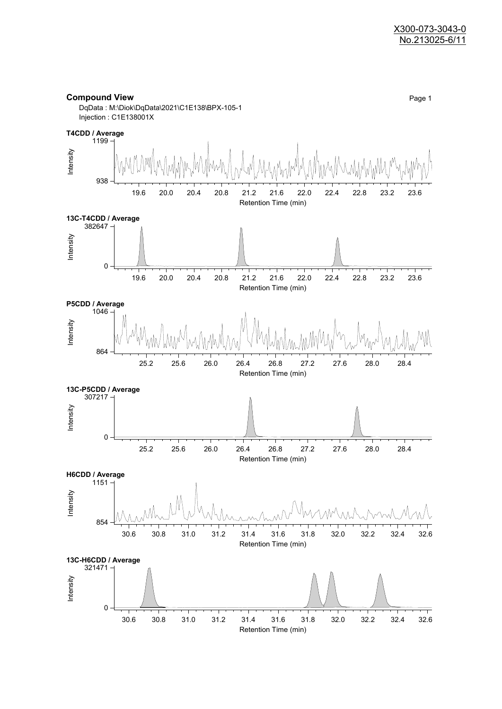

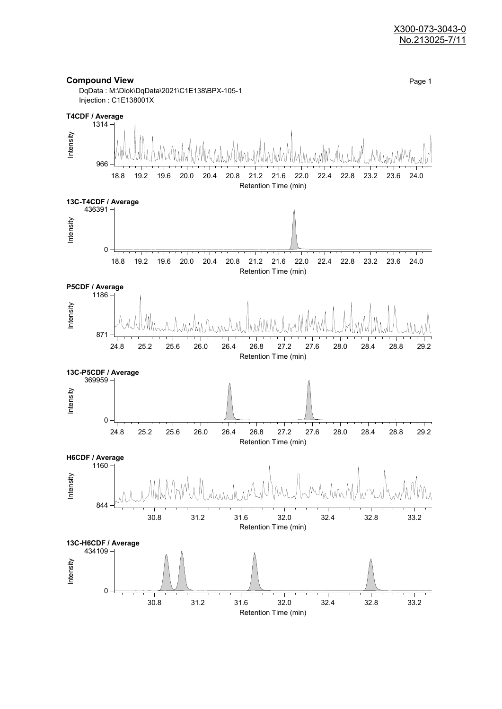#### X300-073-3043-0 No.213025-7/11

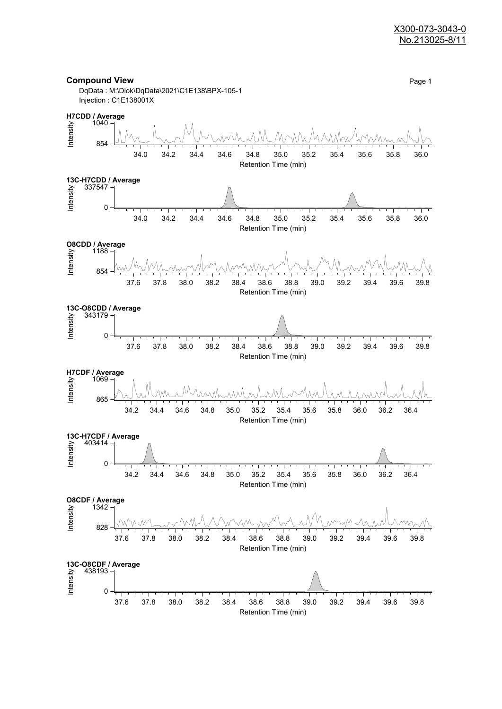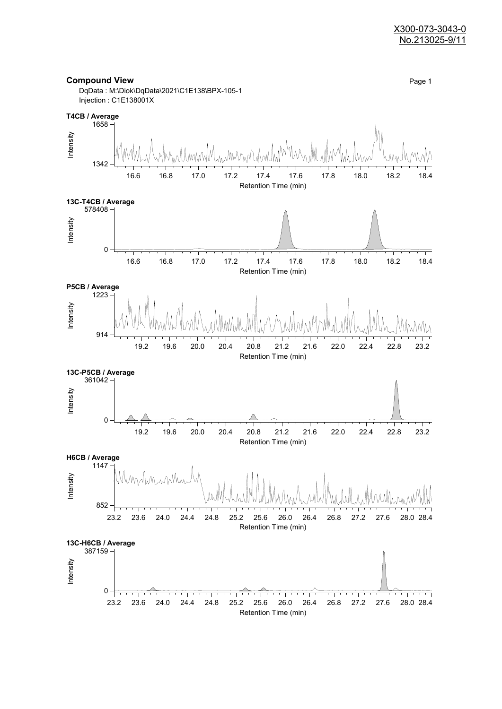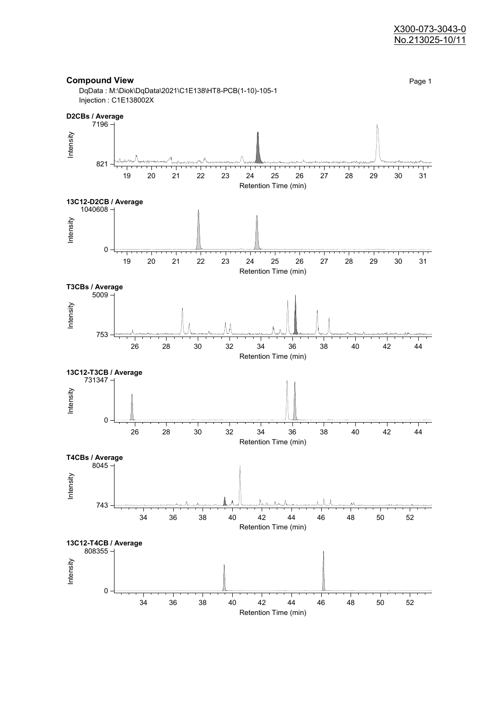